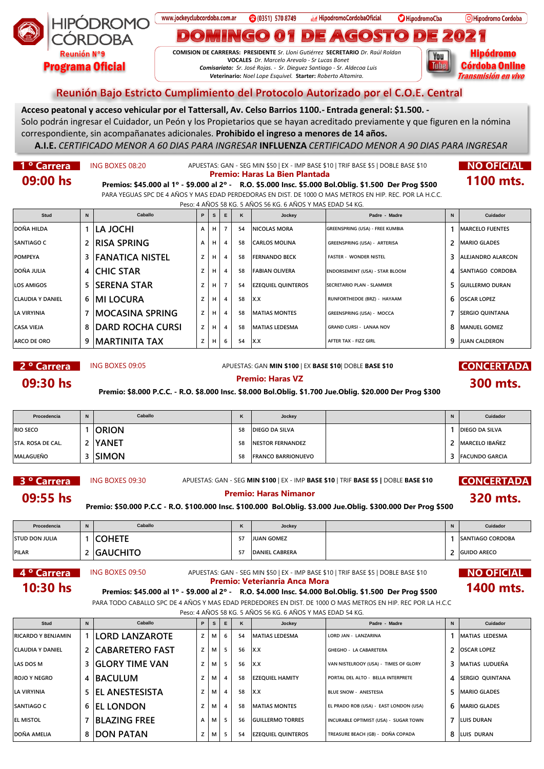

www.jockeyclubcordoba.com.ar **3** (0351) 570 8749 F HipodromoCordobaOficial

**COMISION DE CARRERAS: PRESIDENTE** *Sr. Lloni Gutiérrez* **SECRETARIO** *Dr. Raúl Roldan* **VOCALES** *Dr. Marcelo Arevalo - Sr Lucas Bonet Comisariato: Sr. José Rojas. - Sr. Dieguez Santiago - Sr. Aldecoa Luis V***eterinario:** *Noel Lope Esquivel.* **Starter:** *Roberto Altamira.* 

**O**HipodromoCba

 $\left( \begin{matrix} \bullet \\ \bullet \end{matrix} \right)$ 

D)

 $(G(O)$ 

O Hipodromo Cordoba

Hipódromo You **Córdoba Online** Tube **Transmisión en vivo** 

## Reunión Bajo Estricto Cumplimiento del Protocolo Autorizado por el C.O.E. Central

 $\mathsf{d}(\bullet)$ 

**Acceso peatonal y acceso vehicular por el Tattersall, Av. Celso Barrios 1100.- Entrada general: \$1.500. -**

Solo podrán ingresar el Cuidador, un Peón y los Propietarios que se hayan acreditado previamente y que figuren en la nómina correspondiente, sin acompañanates adicionales. **Prohibido el ingreso a menores de 14 años.**

**A.I.E.** *CERTIFICADO MENOR A 60 DIAS PARA INGRESAR* **INFLUENZA** *CERTIFICADO MENOR A 90 DIAS PARA INGRESAR*

1 <sup>o</sup> Carrera **NO OFICIAL NO OFICIAL** APUESTAS: GAN - SEG MIN \$50 | EX - IMP BASE \$10 | TRIF BASE \$10 **INO OFICIAL** 

 $\mathbf{D}(\mathbf{O})$ 

**09:00 hs Premios: \$45.000 al 1º - \$9.000 al 2º -** R.O. \$5.000 Insc. \$5.000 Bol.Oblig. \$1.500 Der Prog \$500 **1100 mts.** PARA YEGUAS SPC DE 4 AÑOS Y MAS EDAD PERDEDORAS EN DIST. DE 1000 O MAS METROS EN HIP. REC. POR LA H.C.C.

Peso: 4 AÑOS 58 KG. 5 AÑOS 56 KG. 6 AÑOS Y MAS EDAD 54 KG.

| Stud                    | $\mathbf N$ | Caballo                 | P | s l | E | κ  | Jockey                     | Padre - Madre                         | N  | Cuidador                 |
|-------------------------|-------------|-------------------------|---|-----|---|----|----------------------------|---------------------------------------|----|--------------------------|
| DOÑA HILDA              |             | ILA JOCHI               | A | H   |   | 54 | INICOLAS MORA              | GREENSPRING (USA) - FREE KUMBIA       |    | <b>IMARCELO FUENTES</b>  |
| <b>SANTIAGO C</b>       |             | <b>IRISA SPRING</b>     | A | H   | 4 | 58 | CARLOS MOLINA              | GREENSPRING (USA) - ARTERISA          | 2  | <b>IMARIO GLADES</b>     |
| <b>POMPEYA</b>          | 3           | <b>FANATICA NISTEL</b>  | z | H   | 4 | 58 | <b>FERNANDO BECK</b>       | <b>FASTER - WONDER NISTEL</b>         | 3  | <b>ALEJANDRO ALARCON</b> |
| DOÑA JULIA              |             | 4 CHIC STAR             | z | H   | 4 | 58 | <b>FABIAN OLIVERA</b>      | <b>ENDORSEMENT (USA) - STAR BLOOM</b> | 4  | <b>SANTIAGO CORDOBA</b>  |
| <b>LOS AMIGOS</b>       | 5           | <b>ISERENA STAR</b>     | Z | H   |   | 54 | <b>IEZEOUIEL OUINTEROS</b> | <b>SECRETARIO PLAN - SLAMMER</b>      | 5. | <b>GUILLERMO DURAN</b>   |
| <b>CLAUDIA Y DANIEL</b> |             | 6   MI LOCURA           | z | H   | 4 | 58 | IX.X                       | RUNFORTHEDOE (BRZ) - HAYAAM           | 6. | <b>OSCAR LOPEZ</b>       |
| LA VIRYINIA             |             | IMOCASINA SPRING        | z | H   | 4 | 58 | <b>IMATIAS MONTES</b>      | <b>GREENSPRING (USA) - MOCCA</b>      |    | <b>SERGIO QUINTANA</b>   |
| <b>CASA VIEJA</b>       | 8           | <b>DARD ROCHA CURSI</b> | z | H   | 4 | 58 | IMATIAS LEDESMA            | GRAND CURSI - LANAA NOV               | 8  | <b>IMANUEL GOMEZ</b>     |
| ARCO DE ORO             | 9           | IMARTINITA TAX          | z | H   | 6 | 54 | IX.X                       | AFTER TAX - FIZZ GIRL                 | q  | IJUAN CALDERON           |

**2 <sup>o</sup> Carrera** ING BOXES 09:05 APUESTAS: GAN MIN \$100 | EX BASE \$10| DOBLE BASE \$10 **CONCERTADA** 

**320 mts.**

**09:30 hs**<br>**Premio: \$8.000 P.C.C. - R.O. \$8.000 Insc. \$8.000 Bol.Oblig. \$1.700 Jue.Oblig. \$20.000 Der Prog \$300**<br>**Premio: \$8.000 P.C.C. - R.O. \$8.000 Insc. \$8.000 Bol.Oblig. \$1.700 Jue.Oblig. \$20.000 Der Prog \$300** 

| Procedencia        | N | Caballo       | n. | Jockey                    | N | Cuidador              |
|--------------------|---|---------------|----|---------------------------|---|-----------------------|
| <b>RIO SECO</b>    |   | <b>ORION</b>  | 58 | <b>IDIEGO DA SILVA</b>    |   | <b>DIEGO DA SILVA</b> |
| ISTA. ROSA DE CAL. |   | <b>YANET</b>  | 58 | <b>INESTOR FERNANDEZ</b>  |   | <b>MARCELO IBAÑEZ</b> |
| MALAGUEÑO          |   | <b>ISIMON</b> | 58 | <b>FRANCO BARRIONUEVO</b> |   | 3 FACUNDO GARCIA      |

**3 ° Carrera** ING BOXES 09:30 APUESTAS: GAN - SEG MIN \$100 | EX - IMP BASE \$10 | TRIF BASE \$5 | DOBLE BASE \$10 **CONCERTADA** 

**Premio: Haras Nimanor<br>Premio: \$50.000 P.C.C - R.O. \$100.000 Insc. \$100.000 Bol.Oblig. \$3.000 Jue.Oblig. \$300.000 Der Prog \$500<br>Premio: \$50.000 P.C.C - R.O. \$100.000 Insc. \$100.000 Bol.Oblig. \$3.000 Jue.Oblig. \$300.000 Der** 

| Procedencia           | N | Caballo         | $\overline{\mathbf{z}}$<br>n | Jockey                | N | Cuidador                |
|-----------------------|---|-----------------|------------------------------|-----------------------|---|-------------------------|
| <b>STUD DON JULIA</b> |   | <b>COHETE</b>   |                              | JUAN GOMEZ            |   | <b>SANTIAGO CORDOBA</b> |
| <b>PILAR</b>          |   | <b>GAUCHITO</b> | ، ر                          | <b>DANIEL CABRERA</b> |   | <b>GUIDO ARECO</b>      |

# **4 <sup>o</sup> Carrera** ING BOXES 09:50 APUESTAS: GAN - SEG MIN \$50 | EX - IMP BASE \$10 | TRIF BASE \$5 | DOBLE BASE \$10 **NO OFICIAL 10:30 hs Premios: \$45.000 al 1º - \$9.000 al 2º -** R.O. \$4.000 lnsc. \$4.000 Bol.Oblig. \$1.500 Der Prog \$500 **1400 mts.**

PARA TODO CABALLO SPC DE 4 AÑOS Y MAS EDAD PERDEDORES EN DIST. DE 1000 O MAS METROS EN HIP. REC POR LA H.C.C

Peso: 4 AÑOS 58 KG. 5 AÑOS 56 KG. 6 AÑOS Y MAS EDAD 54 KG.

| Stud                      | N | Caballo                  | P | s. | E              | ĸ  | Jockey                     | Padre - Madre                          | N | Cuidador               |
|---------------------------|---|--------------------------|---|----|----------------|----|----------------------------|----------------------------------------|---|------------------------|
| <b>RICARDO Y BENJAMIN</b> |   | 1 ILORD LANZAROTE        | z | м  | -6             | 54 | <b>IMATIAS LEDESMA</b>     | LORD JAN - LANZARINA                   |   | <b>IMATIAS LEDESMA</b> |
| CLAUDIA Y DANIEL          |   | 2 CABARETERO FAST        | z | м  | 5              | 56 | Ix.x                       | <b>GHEGHO - LA CABARETERA</b>          |   | 2   OSCAR LOPEZ        |
| LAS DOS M                 |   | <b>3 IGLORY TIME VAN</b> | z | м  | -5             | 56 | Ix.x                       | VAN NISTELROOY (USA) - TIMES OF GLORY  |   | 3   MATIAS LUDUEÑA     |
| <b>ROJO Y NEGRO</b>       |   | 4 BACULUM                |   | м  | $\overline{4}$ | 58 | <b>EZEQUIEL HAMITY</b>     | PORTAL DEL ALTO - BELLA INTERPRETE     |   | 4 ISERGIO OUINTANA     |
| LA VIRYINIA               |   | <b>5 IEL ANESTESISTA</b> | z | М  | 4              | 58 | Ix.x                       | <b>BLUE SNOW - ANESTESIA</b>           |   | 5   MARIO GLADES       |
| <b>SANTIAGO C</b>         |   | 6 EL LONDON              | z | м  | $\overline{4}$ | 58 | <b>IMATIAS MONTES</b>      | EL PRADO ROB (USA) - EAST LONDON (USA) |   | 6   MARIO GLADES       |
| <b>EL MISTOL</b>          |   | <b>BLAZING FREE</b>      | A | м  | 5              | 56 | <b>GUILLERMO TORRES</b>    | INCURABLE OPTIMIST (USA) - SUGAR TOWN  |   | 7 ILUIS DURAN          |
| DOÑA AMELIA               |   | 8 DON PATAN              | z | м  | -5             | 54 | <b>IEZEQUIEL QUINTEROS</b> | TREASURE BEACH (GB) - DOÑA COPADA      |   | 8 ILUIS DURAN          |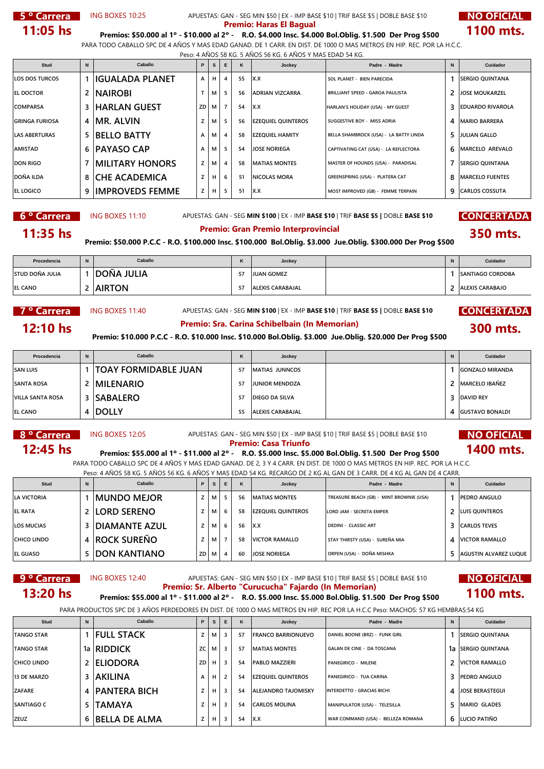### **5 <sup>o</sup> Carrera** ING BOXES 10:25 APUESTAS: GAN - SEG MIN \$50 | EX - IMP BASE \$10 | TRIF BASE \$5 | DOBLE BASE \$10 **NO OFICIAL Premio: Haras El Bagual 11:05 hs Premios: \$50.000 al 1º - \$10.000 al 2º -** R.O. \$4.000 Insc. \$4.000 Bol.Oblig. \$1.500 Der Prog \$500 **1100 mts.**

PARA TODO CABALLO SPC DE 4 AÑOS Y MAS EDAD GANAD. DE 1 CARR. EN DIST. DE 1000 O MAS METROS EN HIP. REC. POR LA H.C.C. Peso: 4 AÑOS 58 KG. 5 AÑOS 56 KG. 6 AÑOS Y MAS EDAD 54 KG.

| Stud                  | $\mathbf N$ | Caballo                | P  | s.             | E | ĸ  | Jockey                     | Padre - Madre                           | $\mathbf N$ | Cuidador                |
|-----------------------|-------------|------------------------|----|----------------|---|----|----------------------------|-----------------------------------------|-------------|-------------------------|
| <b>LOS DOS TURCOS</b> |             | IIGUALADA PLANET       | A  | н              |   | 55 | lx.x                       | SOL PLANET - BIEN PARECIDA              |             | <b>SERGIO QUINTANA</b>  |
| <b>EL DOCTOR</b>      |             | <b>INAIROBI</b>        |    | м              |   | 56 | <b>ADRIAN VIZCARRA</b>     | <b>BRILLIANT SPEED - GAROA PAULISTA</b> | 2           | <b>JOSE MOUKARZEL</b>   |
| <b>COMPARSA</b>       | 3           | HARLAN GUEST!          | ZD | M <sub>1</sub> |   | 54 | lx.x                       | HARLAN'S HOLIDAY (USA) - MY GUEST       | 3           | <b>EDUARDO RIVAROLA</b> |
| <b>GRINGA FURIOSA</b> | 4           | IMR. ALVIN             | Z  | м              |   | 56 | <b>IEZEQUIEL QUINTEROS</b> | SUGGESTIVE BOY - MISS ADRIA             | 4           | <b>MARIO BARRERA</b>    |
| <b>LAS ABERTURAS</b>  | 5           | <b>BELLO BATTY</b>     | A  | м              |   | 58 | <b>EZEQUIEL HAMITY</b>     | BELLA SHAMBROCK (USA) - LA BATTY LINDA  | 5           | <b>JULIAN GALLO</b>     |
| AMISTAD               | 6           | <b>PAYASO CAP</b>      | A  | м              |   | 54 | <b>JOSE NORIEGA</b>        | CAPTIVATING CAT (USA) - LA REFLECTORA   | 6           | MARCELO AREVALO         |
| <b>DON RIGO</b>       |             | <b>MILITARY HONORS</b> | z  | м              | 4 | 58 | <b>IMATIAS MONTES</b>      | MASTER OF HOUNDS (USA) - PARADISAL      | 7           | <b>ISERGIO QUINTANA</b> |
| <b>DOÑA ILDA</b>      | 8           | <b>CHE ACADEMICA</b>   | z  | H              | 6 | 51 | <b>NICOLAS MORA</b>        | GREENSPRING (USA) - PLATERA CAT         | 8           | <b>MARCELO FUENTES</b>  |
| <b>EL LOGICO</b>      | 9           | <b>IMPROVEDS FEMME</b> | z  | н              |   | 51 | IX.X                       | MOST IMPROVED (GB) - FEMME TERPAIN      | q           | ICARLOS COSSUTA         |

**6 ° Carrera** ING BOXES 11:10 APUESTAS: GAN - SEG MIN \$100 | EX - IMP BASE \$10 | TRIF BASE \$5 | DOBLE BASE \$10 **CONCERTADA** 

**11:35 hs**<br>Premio: \$50.000 P.C.C - R.O. \$100.000 Insc. \$100.000 Bol.Oblig. \$3.000 Jue.Oblig. \$300.000 Der Prog \$500<br>Premio: \$50.000 P.C.C - R.O. \$100.000 Insc. \$100.000 Bol.Oblig. \$3.000 Jue.Oblig. \$300.000 Der Prog \$500

| Procedencia            | N | Caballo       | n | Jockey                  | N | Cuidador                |
|------------------------|---|---------------|---|-------------------------|---|-------------------------|
| <b>STUD DOÑA JULIA</b> |   | DOÑA JULIA    |   | <b>JUAN GOMEZ</b>       |   | <b>SANTIAGO CORDOBA</b> |
| <b>EL CANO</b>         |   | <b>AIRTON</b> |   | <b>ALEXIS CARABAJAL</b> |   | <b>ALEXIS CARABAJO</b>  |

**7 º Carrera | ING BOXES 11:40** APUESTAS: GAN - SEG **MIN \$100** | EX - IMP **BASE \$10** | TRIF **BASE \$5 |** DOBLE **BASE \$10 CONCERTADA** 

**12:10 hs Premio: Sra. Carina Schibelbain (In Memorian) 300 mts.**

### **Premio: \$10.000 P.C.C - R.O. \$10.000 Insc. \$10.000 Bol.Oblig. \$3.000 Jue.Oblig. \$20.000 Der Prog \$500**

| Procedencia             | $\mathbf N$ | Caballo                     | n. | Jockey                 | N | Cuidador               |
|-------------------------|-------------|-----------------------------|----|------------------------|---|------------------------|
| <b>SAN LUIS</b>         |             | <b>TOAY FORMIDABLE JUAN</b> | 57 | <b>IMATIAS JUNNCOS</b> |   | <b>GONZALO MIRANDA</b> |
| <b>SANTA ROSA</b>       |             | <b>IMILENARIO</b>           |    | JUNIOR MENDOZA         |   | <b>MARCELO IBAÑEZ</b>  |
| <b>VILLA SANTA ROSA</b> |             | <b>SABALERO</b>             |    | IDIEGO DA SILVA        |   | 3 DAVID REY            |
| <b>EL CANO</b>          | 4           | <b>DOLLY</b>                |    | ALEXIS CARABAJAL       |   | 4 GUSTAVO BONALDI      |

# **8 <sup>o</sup> Carrera** ING BOXES 12:05 APUESTAS: GAN - SEG MIN \$50 | EX - IMP BASE \$10 | TRIF BASE \$5 | DOBLE BASE \$10 **NO OFICIAL**

**12:45 hs Premio: Casa Triunfo**<br>**1400 mts. Premios: \$55.000 al 1º - \$11.000 al 2º -** R.O. \$5.000 Insc. \$5.000 Bol.Oblig. \$1.500 Der Prog \$500 PARA TODO CABALLO SPC DE 4 AÑOS Y MAS EDAD GANAD. DE 2, 3 Y 4 CARR. EN DIST. DE 1000 O MAS METROS EN HIP. REC. POR LA H.C.C. Peso: 4 AÑOS 58 KG. 5 AÑOS 56 KG. 6 AÑOS Y MAS EDAD 54 KG. RECARGO DE 2 KG AL GAN DE 3 CARR. DE 4 KG AL GAN DE 4 CARR.

| Stud              | N | Caballo               | P   |   | E              | K   | Jockey                             | Padre - Madre                            | Cuidador                |
|-------------------|---|-----------------------|-----|---|----------------|-----|------------------------------------|------------------------------------------|-------------------------|
| LA VICTORIA       |   | IMUNDO MEJOR          |     | м | -5             | -56 | IMATIAS MONTES                     | TREASURE BEACH (GB) - MINT BROWNIE (USA) | <b>IPEDRO ANGULO</b>    |
| <b>EL RATA</b>    |   | <b>LORD SERENO</b>    |     | м | 6              | -58 | <b>IEZEQUIEL QUINTEROS</b>         | LORD JAM - SECRETA EMPER                 | 2 ILUIS QUINTEROS       |
| <b>LOS MUCIAS</b> |   | <b>IDIAMANTE AZUL</b> |     | М | 6              | 56  | $\mathsf{I} \mathsf{X} \mathsf{X}$ | <b>DEDINI - CLASSIC ART</b>              | <b>3</b> CARLOS TEVES   |
| CHICO LINDO       |   | <b>ROCK SUREÑO</b>    |     | М |                | 58  | <b>VICTOR RAMALLO</b>              | STAY THIRSTY (USA) - SUREÑA MIA          | 4 <b>VICTOR RAMALLO</b> |
| <b>EL GUASO</b>   |   | <b>IDON KANTIANO</b>  | ZDI | м | $\overline{4}$ | 60  | <b>JOSE NORIEGA</b>                | ORPEN (USA) - DOÑA MISHKA                | 5 AGUSTIN ALVAREZ LUQUE |

# **9 <sup>o</sup> Carrera** ING BOXES 12:40 APUESTAS: GAN - SEG MIN \$50 | EX - IMP BASE \$10 | TRIF BASE \$5 | DOBLE BASE \$10 **NO OFICIAL 13:20 hs Premio: Sr. Alberto "Curucucha" Fajardo (In Memorian) 13:20 hs Premios: \$55.000 al 1º - \$11.000 al 2º -** R.O. \$5.000 Insc. \$5.000 Bol.Oblig. \$1.500 Der Prog \$500 **1100 mts.**

PARA PRODUCTOS SPC DE 3 AÑOS PERDEDORES EN DIST. DE 1000 O MAS METROS EN HIP. REC POR LA H.C.C Peso: MACHOS: 57 KG HEMBRAS:54 KG

| Stud              | N | Caballo              | P. | s | E                       | ĸ  | Jockey                     | Padre - Madre                      | $\mathbf N$   | Cuidador                |
|-------------------|---|----------------------|----|---|-------------------------|----|----------------------------|------------------------------------|---------------|-------------------------|
| <b>TANGO STAR</b> |   | <b>FULL STACK</b>    | z  | М | - 3                     | 57 | <b>IFRANCO BARRIONUEVO</b> | DANIEL BOONE (BRZ) - FUNK GIRL     |               | <b>ISERGIO QUINTANA</b> |
| <b>TANGO STAR</b> |   | 1a RIDDICK           | ZC | М | $\overline{\mathbf{3}}$ | 57 | <b>IMATIAS MONTES</b>      | <b>GALAN DE CINE - DA TOSCANA</b>  |               | 1a ISERGIO QUINTANA     |
| CHICO LINDO       |   | <b>ELIODORA</b>      | ZD | н | $\overline{\mathbf{3}}$ | 54 | <b>PABLO MAZZIERI</b>      | <b>PANEGIRICO - MILENE</b>         | $\mathcal{P}$ | VICTOR RAMALLO          |
| 13 DE MARZO       |   | <b>AKILINA</b>       | A  | н | $\overline{2}$          | 54 | <b>IEZEQUIEL QUINTEROS</b> | PANEGIRICO - TUA CARINA            |               | <b>PEDRO ANGULO</b>     |
| <b>ZAFARE</b>     |   | 4 PANTERA BICH       |    | н | $\overline{\mathbf{3}}$ | 54 | <b>ALEJANDRO TAJOMISKY</b> | <b>INTERDETTO - GRACIAS BICHI</b>  |               | 4 JOSE BERASTEGUI       |
| <b>SANTIAGO C</b> |   | <b>TAMAYA</b>        | z  | н | $\overline{\mathbf{3}}$ | 54 | <b>CARLOS MOLINA</b>       | MANIPULATOR (USA) - TELESILLA      | 5.            | <b>MARIO GLADES</b>     |
| <b>ZEUZ</b>       | 6 | <b>BELLA DE ALMA</b> | z  | н | $\overline{\mathbf{3}}$ | 54 | IX.X                       | WAR COMMAND (USA) - BELLEZA ROMANA |               | 6 LUCIO PATIÑO          |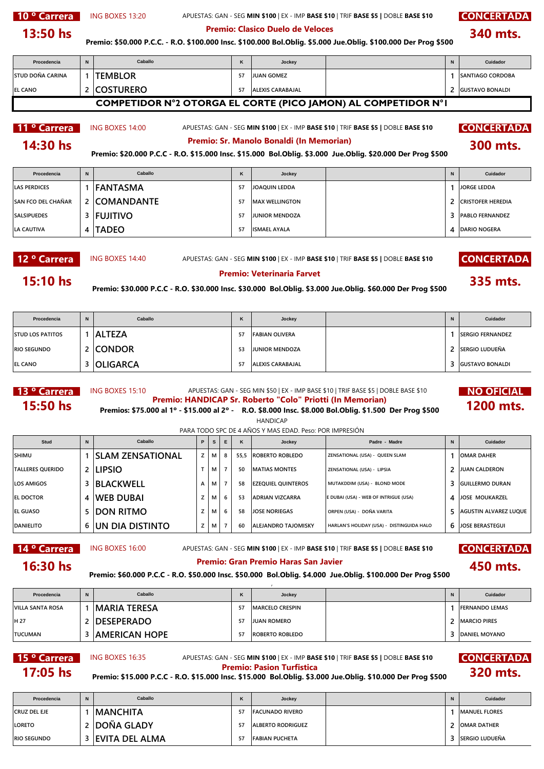10 <sup>o</sup> Carrera **CONCERTADA CONCERTADA** APUESTAS: GAN - SEG MIN \$100 | EX - IMP BASE \$10 | TRIF BASE \$10 **CONCERTADA** 

**340 mts.**

**Premio: \$50.000 P.C.C. - R.O. \$100.000 Insc. \$100.000 Bol.Oblig. \$5.000 Jue.Oblig. \$100.000 Der Prog \$500 13:50 hs Premio: Clasico Duelo de Veloces**

### **Procedencia N K Jockey N Cuidador STUD DOÑA CARINA 1 TEMBLOR <sup>57</sup> JUAN GOMEZ 1 SANTIAGO CORDOBA EL CANO 2 COSTURERO <sup>57</sup> ALEXIS CARABAJAL 2 GUSTAVO BONALDI 11 ° Carrera | ING BOXES 14:00** APUESTAS: GAN - SEG **MIN \$100** | EX - IMP **BASE \$10** | TRIF **BASE \$5 | DOBLE BASE \$10 CONCERTADA Procedencia N K Jockey N Cuidador LAS PERDICES 1 FANTASMA <sup>57</sup> JOAQUIN LEDDA 1 JORGE LEDDA SAN FCO DEL CHAÑAR 2 COMANDANTE <sup>57</sup> MAX WELLINGTON 2 CRISTOFER HEREDIA SALSIPUEDES 3 FUJITIVO <sup>57</sup> JUNIOR MENDOZA 3 PABLO FERNANDEZ Caballo 300 mts. 14:30 hs Premio: Sr. Manolo Bonaldi (In Memorian) COMPETIDOR N°2 OTORGA EL CORTE (PICO JAMON) AL COMPETIDOR N°1 Caballo Premio: \$20.000 P.C.C - R.O. \$15.000 Insc. \$15.000 Bol.Oblig. \$3.000 Jue.Oblig. \$20.000 Der Prog \$500**

12 <sup>o</sup> Carrera **CONCERTADA CONCERTADA APUESTAS: GAN - SEG MIN \$100** | EX - IMP BASE \$10 | TRIF BASE \$10 **CONCERTADA** 

**15:10 hs**<br>**235 mts. Premio: \$30.000 P.C.C - R.O. \$30.000 Insc. \$30.000 Bol.Oblig. \$3.000 Jue.Oblig. \$60.000 Der Prog \$500** 

**LA CAUTIVA 4 TADEO <sup>57</sup> ISMAEL AYALA 4 DARIO NOGERA**

| Procedencia             | N | Caballo       | n. | Jockey                  | N | Cuidador                 |
|-------------------------|---|---------------|----|-------------------------|---|--------------------------|
| <b>STUD LOS PATITOS</b> |   | <b>ALTEZA</b> | 57 | FABIAN OLIVERA          |   | <b>ISERGIO FERNANDEZ</b> |
| <b>RIO SEGUNDO</b>      |   | : Icondor     | 53 | <b>JUNIOR MENDOZA</b>   |   | ' ISERGIO LUDUEÑA        |
| <b>EL CANO</b>          |   | 3 OLIGARCA    | 57 | <b>ALEXIS CARABAJAL</b> |   | 3 GUSTAVO BONALDI        |

# 13 <sup>o</sup> Carrera MG BOXES 15:10 APUESTAS: GAN - SEG MIN \$50 | EX - IMP BASE \$10 | TRIF BASE \$5 | DOBLE BASE \$10 **NO OFICIAL 13 ° Carrera** ING BOXES 15:10 **APUESTAS: GAN - SEG MIN \$50 | EX - IMP BASE \$10 | TRIF BASE \$10 RO OFICIAL**<br>**15:50 hs Premios: \$75.000 al 1º - \$15.000 al 2º - R.O. \$8.000 Insc. \$8.000 Bol.Oblig. \$1.500 Der Prog \$500**

**HANDICAP** 

PARA TODO SPC DE 4 AÑOS Y MAS EDAD. Peso: POR IMPRESIÓN

| Stud                    | N | Caballo                 | P | s l | Е |      | Jockey                     | Padre - Madre                             | $\mathbf N$ | Cuidador                |
|-------------------------|---|-------------------------|---|-----|---|------|----------------------------|-------------------------------------------|-------------|-------------------------|
| <b>SHIMU</b>            |   | <b>SLAM ZENSATIONAL</b> | z | M   | 8 | 55.5 | <b>IROBERTO ROBLEDO</b>    | ZENSATIONAL (USA) - QUEEN SLAM            |             | <b>JOMAR DAHER</b>      |
| <b>TALLERES OUERIDO</b> |   | 2 LIPSIO                |   | м   |   | 50   | IMATIAS MONTES             | ZENSATIONAL (USA) - LIPSIA                |             | <b>JUAN CALDERON</b>    |
| <b>LOS AMIGOS</b>       |   | <b>BLACKWELL</b>        | A | М   |   | 58   | <b>IEZEQUIEL QUINTEROS</b> | MUTAKDDIM (USA) - BLOND MODE              |             | 3 GUILLERMO DURAN       |
| <b>EL DOCTOR</b>        |   | <b>IWEB DUBAI</b>       |   | M I | 6 | 53   | <b>ADRIAN VIZCARRA</b>     | E DUBAI (USA) - WEB OF INTRIGUE (USA)     |             | 4 JOSE MOUKARZEL        |
| <b>EL GUASO</b>         |   | <b>IDON RITMO</b>       | z | М   | 6 | 58   | LIOSE NORIEGAS             | ORPEN (USA) - DOÑA VARITA                 |             | 5 AGUSTIN ALVAREZ LUQUE |
| <b>DANIELITO</b>        |   | 6   UN DIA DISTINTO     | z | М   |   | 60   | <b>ALEJANDRO TAJOMISKY</b> | HARLAN'S HOLIDAY (USA) - DISTINGUIDA HALO |             | 6 JOSE BERASTEGUI       |

ING BOXES 16:00

14 <sup>o</sup> Carrera MS BOXES 16:00 APUESTAS: GAN - SEG MIN \$100 | EX - IMP BASE \$10 | TRIF BASE \$5 | DOBLE BASE \$10 **CONCERTADA** 

# **16:30 hs**<br>Premio: \$60.000 P.C.C - R.O. \$50.000 Insc. \$50.000 Bol.Oblig. \$4.000 Jue.Oblig. \$100.000 Der Prog \$500<br>Premio: \$60.000 P.C.C - R.O. \$50.000 Insc. \$50.000 Bol.Oblig. \$4.000 Jue.Oblig. \$100.000 Der Prog \$500 ,

| Procedencia      | N | Caballo              | n | Jockey                  |  | Cuidador               |
|------------------|---|----------------------|---|-------------------------|--|------------------------|
| VILLA SANTA ROSA |   | <b>MARIA TERESA</b>  |   | <b>IMARCELO CRESPIN</b> |  | <b>IFERNANDO LEMAS</b> |
| IH 27            |   | <b>IDESEPERADO</b>   |   | <b>JUAN ROMERO</b>      |  | <b>MARCIO PIRES</b>    |
| <b>ITUCUMAN</b>  |   | <b>AMERICAN HOPE</b> |   | <b>IROBERTO ROBLEDO</b> |  | <b>DANIEL MOYANO</b>   |

**17:05 hs** Premio: \$15.000 P.C.C - R.O. \$15.000 Insc. \$15.000 Bol.Oblig. \$3.000 Jue.Oblig. \$10.000 Der Prog \$500<br>**17:05 hs** Premio: \$15.000 P.C.C - R.O. \$15.000 Insc. \$15.000 Bol.Oblig. \$3.000 Jue.Oblig. \$10.000 Der Prog \$

### 15 <sup>o</sup> Carrera MS BOXES 16:35 APUESTAS: GAN - SEG MIN \$100 | EX - IMP BASE \$10 | TRIF BASE \$5 | DOBLE BASE \$10 **CONCERTADA 320 mts.**

| Procedencia        | N | Caballo               | Jockey                   | N | Cuidador              |
|--------------------|---|-----------------------|--------------------------|---|-----------------------|
| CRUZ DEL EJE       |   | <b>IMANCHITA</b>      | <b>IFACUNADO RIVERO</b>  |   | <b>IMANUEL FLORES</b> |
| <b>LORETO</b>      |   | ∶  DOÑA GLADY         | <b>ALBERTO RODRIGUEZ</b> |   | <b>OMAR DATHER</b>    |
| <b>RIO SEGUNDO</b> |   | <b>EVITA DEL ALMA</b> | <b>FABIAN PUCHETA</b>    |   | <b>SERGIO LUDUEÑA</b> |